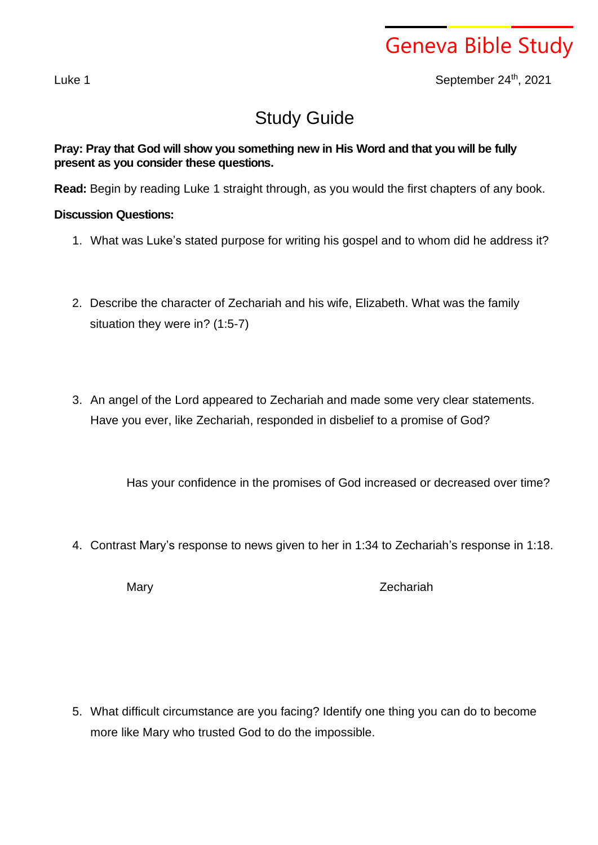## Geneva Bible Study

Luke 1 September 24th, 2021

## Study Guide

## **Pray: Pray that God will show you something new in His Word and that you will be fully present as you consider these questions.**

**Read:** Begin by reading Luke 1 straight through, as you would the first chapters of any book.

## **Discussion Questions:**

- 1. What was Luke's stated purpose for writing his gospel and to whom did he address it?
- 2. Describe the character of Zechariah and his wife, Elizabeth. What was the family situation they were in? (1:5-7)
- 3. An angel of the Lord appeared to Zechariah and made some very clear statements. Have you ever, like Zechariah, responded in disbelief to a promise of God?

Has your confidence in the promises of God increased or decreased over time?

4. Contrast Mary's response to news given to her in 1:34 to Zechariah's response in 1:18.

Mary **Mary** 2echariah

5. What difficult circumstance are you facing? Identify one thing you can do to become more like Mary who trusted God to do the impossible.